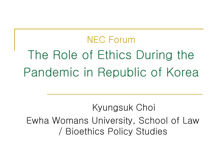# NEC Forum The Role of Ethics During the Pandemic in Republic of Korea

Kyungsuk Choi Ewha Womans University, School of Law / Bioethics Policy Studies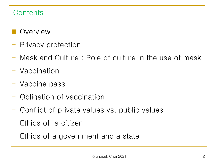# **Contents**

- Overview
- Privacy protection
- Mask and Culture : Role of culture in the use of mask
- Vaccination
- Vaccine pass
- Obligation of vaccination
- Conflict of private values vs. public values
- Ethics of a citizen
- Ethics of a government and a state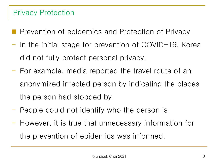#### Privacy Protection

- **Prevention of epidemics and Protection of Privacy**
- In the initial stage for prevention of COVID-19, Korea did not fully protect personal privacy.
- For example, media reported the travel route of an anonymized infected person by indicating the places the person had stopped by.
- People could not identify who the person is.
- However, it is true that unnecessary information for the prevention of epidemics was informed.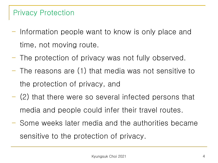## Privacy Protection

- Information people want to know is only place and time, not moving route.
- The protection of privacy was not fully observed.
- The reasons are (1) that media was not sensitive to the protection of privacy, and
- (2) that there were so several infected persons that media and people could infer their travel routes.
- Some weeks later media and the authorities became sensitive to the protection of privacy.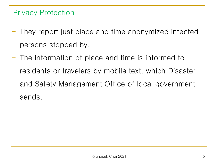#### Privacy Protection

- They report just place and time anonymized infected persons stopped by.
- The information of place and time is informed to residents or travelers by mobile text, which Disaster and Safety Management Office of local government sends.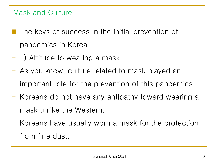#### Mask and Culture

- $\blacksquare$  The keys of success in the initial prevention of pandemics in Korea
- 1) Attitude to wearing a mask
- As you know, culture related to mask played an important role for the prevention of this pandemics.
- Koreans do not have any antipathy toward wearing a mask unlike the Western.
- Koreans have usually worn a mask for the protection from fine dust.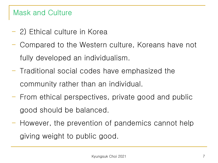## Mask and Culture

- 2) Ethical culture in Korea
- Compared to the Western culture, Koreans have not fully developed an individualism.
- Traditional social codes have emphasized the community rather than an individual.
- From ethical perspectives, private good and public good should be balanced.
- However, the prevention of pandemics cannot help giving weight to public good.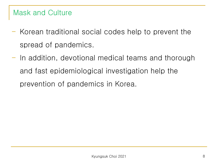## Mask and Culture

- Korean traditional social codes help to prevent the spread of pandemics.
- In addition, devotional medical teams and thorough and fast epidemiological investigation help the prevention of pandemics in Korea.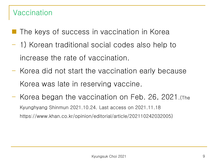# Vaccination

- The keys of success in vaccination in Korea
- 1) Korean traditional social codes also help to increase the rate of vaccination.
- Korea did not start the vaccination early because Korea was late in reserving vaccine.
- Korea began the vaccination on Feb. 26, 2021.(The Kyunghyang Shinmun 2021.10.24. Last access on 2021.11.18 https://www.khan.co.kr/opinion/editorial/article/202110242032005)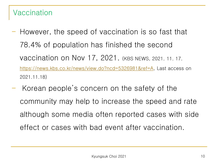# Vaccination

- However, the speed of vaccination is so fast that 78.4% of population has finished the second vaccination on Nov 17, 2021. (KBS NEWS, 2021. 11. 17. [https://news.kbs.co.kr/news/view.do?ncd=5326981&ref=A,](https://news.kbs.co.kr/news/view.do?ncd=5326981&ref=A) Last access on 2021.11.18)
- Korean people's concern on the safety of the community may help to increase the speed and rate although some media often reported cases with side effect or cases with bad event after vaccination.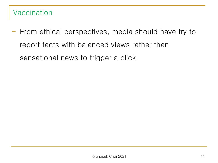# Vaccination

- From ethical perspectives, media should have try to report facts with balanced views rather than sensational news to trigger a click.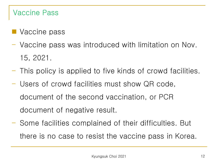### Vaccine Pass

- **Vaccine pass**
- Vaccine pass was introduced with limitation on Nov. 15, 2021.
- This policy is applied to five kinds of crowd facilities.
- Users of crowd facilities must show QR code, document of the second vaccination, or PCR document of negative result.
- Some facilities complained of their difficulties. But there is no case to resist the vaccine pass in Korea.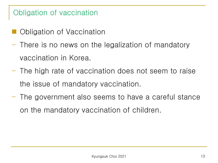# Obligation of vaccination

- Obligation of Vaccination
- There is no news on the legalization of mandatory vaccination in Korea.
- The high rate of vaccination does not seem to raise the issue of mandatory vaccination.
- The government also seems to have a careful stance on the mandatory vaccination of children.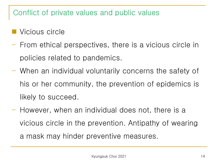- Vicious circle
- From ethical perspectives, there is a vicious circle in policies related to pandemics.
- When an individual voluntarily concerns the safety of his or her community, the prevention of epidemics is likely to succeed.
- However, when an individual does not, there is a vicious circle in the prevention. Antipathy of wearing a mask may hinder preventive measures.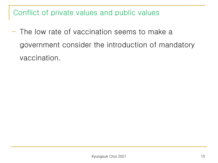- The low rate of vaccination seems to make a government consider the introduction of mandatory vaccination.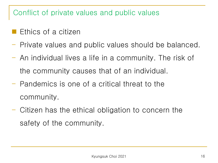- Ethics of a citizen
- Private values and public values should be balanced.
- An individual lives a life in a community. The risk of the community causes that of an individual.
- Pandemics is one of a critical threat to the community.
- Citizen has the ethical obligation to concern the safety of the community.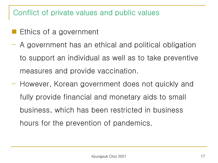- Ethics of a government
- A government has an ethical and political obligation to support an individual as well as to take preventive measures and provide vaccination.
- However, Korean government does not quickly and fully provide financial and monetary aids to small business, which has been restricted in business hours for the prevention of pandemics.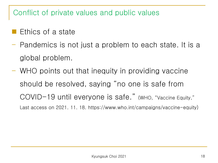- Ethics of a state
- Pandemics is not just a problem to each state. It is a global problem.
- WHO points out that inequity in providing vaccine should be resolved, saying "no one is safe from COVID-19 until everyone is safe." (WHO, "Vaccine Equity," Last access on 2021. 11. 18. https://www.who.int/campaigns/vaccine-equity)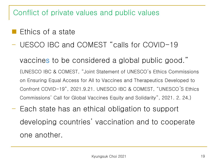- Ethics of a state
- UESCO IBC and COMEST "calls for COVID-19

vaccines to be considered a global public good." (UNESCO IBC & COMEST, "Joint Statement of UNESCO's Ethics Commissions on Ensuring Equal Access for All to Vaccines and Therapeutics Developed to Confront COVID-19", 2021.9.21. UNESCO IBC & COMEST, "UNESCO ́S Ethics Commissions' Call for Global Vaccines Equity and Solidarity", 2021. 2. 24.)

- Each state has an ethical obligation to support developing countries' vaccination and to cooperate one another.